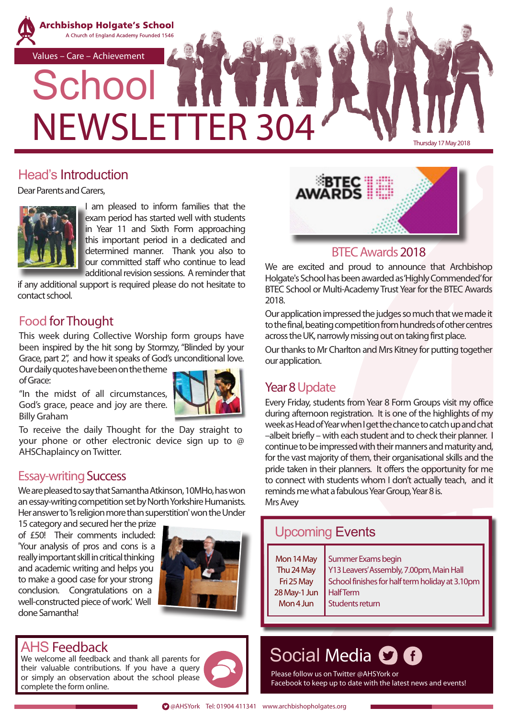

### Head's Introduction

Dear Parents and Carers,



I am pleased to inform families that the exam period has started well with students in Year 11 and Sixth Form approaching this important period in a dedicated and determined manner. Thank you also to our committed staff who continue to lead additional revision sessions. A reminder that

if any additional support is required please do not hesitate to contact school.

### Food for Thought

This week during Collective Worship form groups have been inspired by the hit song by Stormzy, "Blinded by your Grace, part 2", and how it speaks of God's unconditional love.

Our daily quotes have been on the theme of Grace:

"In the midst of all circumstances, God's grace, peace and joy are there. Billy Graham



To receive the daily Thought for the Day straight to your phone or other electronic device sign up to @ AHSChaplaincy on Twitter.

### Essay-writing Success

We are pleased to say that Samantha Atkinson, 10MHo, has won an essay-writing competition set by North Yorkshire Humanists. Her answer to 'Is religion more than superstition' won the Under

15 category and secured her the prize of £50! Their comments included: 'Your analysis of pros and cons is a really important skill in critical thinking and academic writing and helps you to make a good case for your strong conclusion. Congratulations on a well-constructed piece of work.' Well done Samantha!



### AHS Feedback

We welcome all feedback and thank all parents for their valuable contributions. If you have a query or simply an observation about the school please complete the form online.





### BTEC Awards 2018

We are excited and proud to announce that Archbishop Holgate's School has been awarded as 'Highly Commended' for BTEC School or Multi-Academy Trust Year for the BTEC Awards 2018.

Our application impressed the judges so much that we made it to the final, beating competition from hundreds of other centres across the UK, narrowly missing out on taking first place.

Our thanks to Mr Charlton and Mrs Kitney for putting together our application.

# Year 8 Update

Every Friday, students from Year 8 Form Groups visit my office during afternoon registration. It is one of the highlights of my week as Head of Year when I get the chance to catch up and chat –albeit briefly – with each student and to check their planner. I continue to be impressed with their manners and maturity and, for the vast majority of them, their organisational skills and the pride taken in their planners. It offers the opportunity for me to connect with students whom I don't actually teach, and it reminds me what a fabulous Year Group, Year 8 is. Mrs Avey

#### Mon 14 May Thu 24 May Fri 25 May 28 May-1 Jun Mon 4 Jun Summer Exams begin Y13 Leavers' Assembly, 7.00pm, Main Hall School finishes for half term holiday at 3.10pm Half Term Students return Upcoming Events

# Social Media **O G**

Please follow us on Twitter @AHSYork or Facebook to keep up to date with the latest news and events!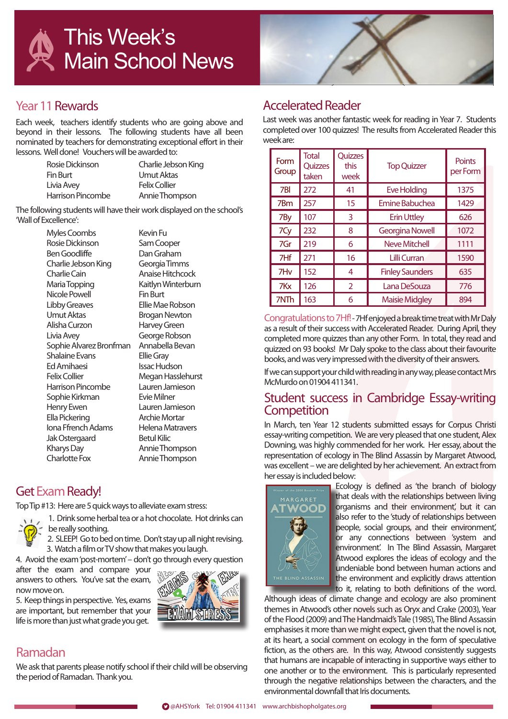



### Year 11 Rewards

Each week, teachers identify students who are going above and beyond in their lessons. The following students have all been nominated by teachers for demonstrating exceptional effort in their lessons. Well done! Vouchers will be awarded to:

| Rosie Dickinson   | Charlie Jebson King  |
|-------------------|----------------------|
| Fin Burt          | Umut Aktas           |
| Livia Avey        | <b>Felix Collier</b> |
| Harrison Pincombe | Annie Thompson       |

The following students will have their work displayed on the school's 'Wall of Excellence':

> Myles Coombs Kevin Fu Rosie Dickinson Sam Cooper Ben Goodliffe Dan Graham Charlie Jebson King Georgia Timms Charlie Cain Anaise Hitchcock Maria Topping Kaitlyn Winterburn Nicole Powell Fin Burt Libby Greaves Ellie Mae Robson Alisha Curzon Harvey Green Livia Avey George Robson Sophie Alvarez Bronfman Annabella Bevan Shalaine Evans Ellie Gray Ed Amihaesi Issac Hudson Felix Collier Megan Hasslehurst<br>Harrison Pincombe Lauren Jamieson Harrison Pincombe Lauren Jam<br>Sophie Kirkman Fvie Milner Sophie Kirkman Henry Ewen Lauren Jamieson Ella Pickering **Archie Mortar**<br>Iona Ffrench Adams Helena Matravers Iona Ffrench Adams Jak Ostergaard Betul Kilic Kharys Day **Annie Thompson** Charlotte Fox Annie Thompson

Brogan Newton

### Get Exam Ready!

Top Tip #13: Here are 5 quick ways to alleviate exam stress:



1. Drink some herbal tea or a hot chocolate. Hot drinks can be really soothing. 2. SLEEP! Go to bed on time. Don't stay up all night revising.

3. Watch a film or TV show that makes you laugh.

4. Avoid the exam 'post-mortem' – don't go through every question

after the exam and compare your answers to others. You've sat the exam, now move on.

5. Keep things in perspective. Yes, exams are important, but remember that your life is more than just what grade you get.



### Ramadan

We ask that parents please notify school if their child will be observing the period of Ramadan. Thank you.

### Accelerated Reader

Last week was another fantastic week for reading in Year 7. Students completed over 100 quizzes! The results from Accelerated Reader this week are:

| Form<br>Group | <b>Total</b><br>Quizzes<br>taken | Quizzes<br>this<br>week | <b>Top Quizzer</b>     | <b>Points</b><br>per Form |
|---------------|----------------------------------|-------------------------|------------------------|---------------------------|
| 7BI           | 272                              | 41                      | <b>Eve Holding</b>     | 1375                      |
| 7Bm           | 257                              | 15                      | <b>Emine Babuchea</b>  | 1429                      |
| 7By           | 107                              | 3                       | <b>Erin Uttley</b>     | 626                       |
| 7Cy           | 232                              | 8                       | <b>Georgina Nowell</b> | 1072                      |
| 7Gr           | 219                              | 6                       | Neve Mitchell          | 1111                      |
| 7Hf           | 271                              | 16                      | Lilli Curran           | 1590                      |
| 7Hv           | 152                              | 4                       | <b>Finley Saunders</b> | 635                       |
| 7Kx           | 126                              | $\overline{2}$          | Lana DeSouza           | 776                       |
| 7NTh          | 163                              | 6                       | <b>Maisie Midgley</b>  | 894                       |

Congratulations to 7Hf! - 7Hf enjoyed a break time treat with Mr Daly as a result of their success with Accelerated Reader. During April, they completed more quizzes than any other Form. In total, they read and quizzed on 93 books! Mr Daly spoke to the class about their favourite books, and was very impressed with the diversity of their answers.

If we can support your child with reading in any way, please contact Mrs McMurdo on 01904 411341.

### Student success in Cambridge Essay-writing **Competition**

In March, ten Year 12 students submitted essays for Corpus Christi essay-writing competition. We are very pleased that one student, Alex Downing, was highly commended for her work. Her essay, about the representation of ecology in The Blind Assassin by Margaret Atwood, was excellent – we are delighted by her achievement. An extract from her essay is included below:



Ecology is defined as 'the branch of biology that deals with the relationships between living organisms and their environment', but it can also refer to the 'study of relationships between people, social groups, and their environment', or any connections between 'system and environment'. In The Blind Assassin, Margaret Atwood explores the ideas of ecology and the undeniable bond between human actions and the environment and explicitly draws attention to it, relating to both definitions of the word.

Although ideas of climate change and ecology are also prominent themes in Atwood's other novels such as Oryx and Crake (2003), Year of the Flood (2009) and The Handmaid's Tale (1985), The Blind Assassin emphasises it more than we might expect, given that the novel is not, at its heart, a social comment on ecology in the form of speculative fiction, as the others are. In this way, Atwood consistently suggests that humans are incapable of interacting in supportive ways either to one another or to the environment. This is particularly represented through the negative relationships between the characters, and the environmental downfall that Iris documents.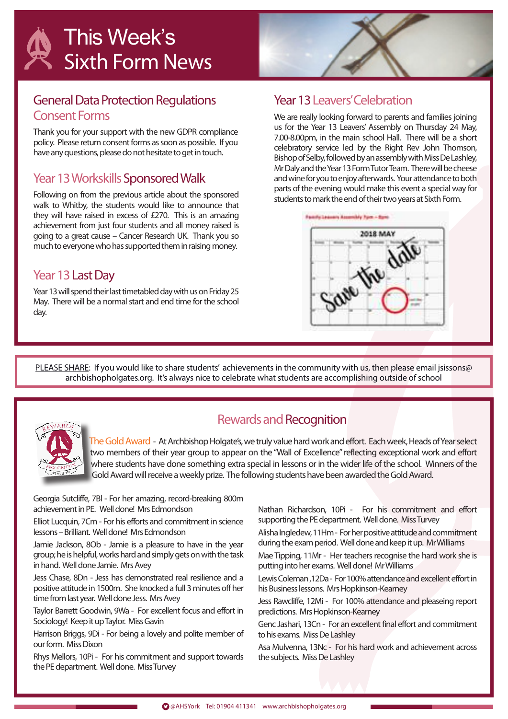### General Data Protection Regulations **Consent Forms**

Thank you for your support with the new GDPR compliance policy. Please return consent forms as soon as possible. If you have any questions, please do not hesitate to get in touch.

### Year 13 Workskills Sponsored Walk

Following on from the previous article about the sponsored walk to Whitby, the students would like to announce that they will have raised in excess of £270. This is an amazing achievement from just four students and all money raised is going to a great cause – Cancer Research UK. Thank you so much to everyone who has supported them in raising money.

### Year 13 Last Day

Year 13 will spend their last timetabled day with us on Friday 25 May. There will be a normal start and end time for the school day.

### Year 13 Leavers' Celebration

We are really looking forward to parents and families joining us for the Year 13 Leavers' Assembly on Thursday 24 May, 7.00-8.00pm, in the main school Hall. There will be a short celebratory service led by the Right Rev John Thomson, Bishop of Selby, followed by an assembly with Miss De Lashley, Mr Daly and the Year 13 Form Tutor Team. There will be cheese and wine for you to enjoy afterwards. Your attendance to both parts of the evening would make this event a special way for students to mark the end of their two years at Sixth Form.



PLEASE SHARE: If you would like to share students' achievements in the community with us, then please email jsissons@ archbishopholgates.org. It's always nice to celebrate what students are accomplishing outside of school



### Rewards and Recognition

The Gold Award - At Archbishop Holgate's, we truly value hard work and effort. Each week, Heads of Year select two members of their year group to appear on the "Wall of Excellence" reflecting exceptional work and effort where students have done something extra special in lessons or in the wider life of the school. Winners of the Gold Award will receive a weekly prize. The following students have been awarded the Gold Award.

Georgia Sutcliffe, 7Bl - For her amazing, record-breaking 800m achievement in PE. Well done! Mrs Edmondson

Elliot Lucquin, 7Cm - For his efforts and commitment in science lessons – Brilliant. Well done! Mrs Edmondson

Jamie Jackson, 8Ob - Jamie is a pleasure to have in the year group; he is helpful, works hard and simply gets on with the task in hand. Well done Jamie. Mrs Avey

Jess Chase, 8Dn - Jess has demonstrated real resilience and a positive attitude in 1500m. She knocked a full 3 minutes off her time from last year. Well done Jess. Mrs Avey

Taylor Barrett Goodwin, 9Wa - For excellent focus and effort in Sociology! Keep it up Taylor. Miss Gavin

Harrison Briggs, 9Di - For being a lovely and polite member of our form. Miss Dixon

Rhys Mellors, 10Pi - For his commitment and support towards the PE department. Well done. Miss Turvey

Nathan Richardson, 10Pi - For his commitment and effort supporting the PE department. Well done. Miss Turvey

Alisha Ingledew, 11Hm - For her positive attitude and commitment during the exam period. Well done and keep it up. Mr Williams

Mae Tipping, 11Mr - Her teachers recognise the hard work she is putting into her exams. Well done! Mr Williams

Lewis Coleman ,12Da - For 100% attendance and excellent effort in his Business lessons. Mrs Hopkinson-Kearney

Jess Rawcliffe, 12Mi - For 100% attendance and pleaseing report predictions. Mrs Hopkinson-Kearney

Genc Jashari, 13Cn - For an excellent final effort and commitment to his exams. Miss De Lashley

Asa Mulvenna, 13Nc - For his hard work and achievement across the subjects. Miss De Lashley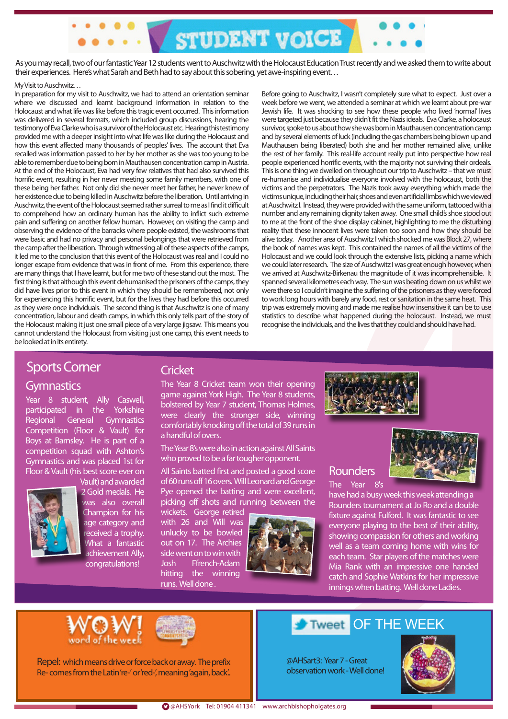As you may recall, two of our fantastic Year 12 students went to Auschwitz with the Holocaust Education Trust recently and we asked them to write about their experiences. Here's what Sarah and Beth had to say about this sobering, yet awe-inspiring event…

STUDENT VOICE

#### My Visit to Auschwitz…

In preparation for my visit to Auschwitz, we had to attend an orientation seminar where we discussed and learnt background information in relation to the Holocaust and what life was like before this tragic event occurred. This information was delivered in several formats, which included group discussions, hearing the testimony of Eva Clarke who is a survivor of the Holocaust etc. Hearing this testimony provided me with a deeper insight into what life was like during the Holocaust and how this event affected many thousands of peoples' lives. The account that Eva recalled was information passed to her by her mother as she was too young to be able to remember due to being born in Mauthausen concentration camp in Austria. At the end of the Holocaust, Eva had very few relatives that had also survived this horrific event, resulting in her never meeting some family members, with one of these being her father. Not only did she never meet her father, he never knew of her existence due to being killed in Auschwitz before the liberation. Until arriving in Auschwitz, the event of the Holocaust seemed rather surreal to me as I find it difficult to comprehend how an ordinary human has the ability to inflict such extreme pain and suffering on another fellow human. However, on visiting the camp and observing the evidence of the barracks where people existed, the washrooms that were basic and had no privacy and personal belongings that were retrieved from the camp after the liberation. Through witnessing all of these aspects of the camps, it led me to the conclusion that this event of the Holocaust was real and I could no longer escape from evidence that was in front of me. From this experience, there are many things that I have learnt, but for me two of these stand out the most. The first thing is that although this event dehumanised the prisoners of the camps, they did have lives prior to this event in which they should be remembered, not only for experiencing this horrific event, but for the lives they had before this occurred as they were once individuals. The second thing is that Auschwitz is one of many concentration, labour and death camps, in which this only tells part of the story of the Holocaust making it just one small piece of a very large jigsaw. This means you cannot understand the Holocaust from visiting just one camp, this event needs to be looked at in its entirety.

Before going to Auschwitz, I wasn't completely sure what to expect. Just over a week before we went, we attended a seminar at which we learnt about pre-war Jewish life. It was shocking to see how these people who lived 'normal' lives were targeted just because they didn't fit the Nazis ideals. Eva Clarke, a holocaust survivor, spoke to us about how she was born in Mauthausen concentration camp and by several elements of luck (including the gas chambers being blown up and Mauthausen being liberated) both she and her mother remained alive, unlike the rest of her family. This real-life account really put into perspective how real people experienced horrific events, with the majority not surviving their ordeals. This is one thing we dwelled on throughout our trip to Auschwitz – that we must re-humanise and individualise everyone involved with the holocaust, both the victims and the perpetrators. The Nazis took away everything which made the victims unique, including their hair, shoes and even artificial limbs which we viewed at Auschwitz I. Instead, they were provided with the same uniform, tattooed with a number and any remaining dignity taken away. One small child's shoe stood out to me at the front of the shoe display cabinet, highlighting to me the disturbing reality that these innocent lives were taken too soon and how they should be alive today. Another area of Auschwitz I which shocked me was Block 27, where the book of names was kept. This contained the names of all the victims of the Holocaust and we could look through the extensive lists, picking a name which we could later research. The size of Auschwitz I was great enough however, when we arrived at Auschwitz-Birkenau the magnitude of it was incomprehensible. It spanned several kilometres each way. The sun was beating down on us whilst we were there so I couldn't imagine the suffering of the prisoners as they were forced to work long hours with barely any food, rest or sanitation in the same heat. This trip was extremely moving and made me realise how insensitive it can be to use statistics to describe what happened during the holocaust. Instead, we must recognise the individuals, and the lives that they could and should have had.

### Sports Corner

#### **Gymnastics**

Year 8 student, Ally Caswell, participated in the Yorkshire Regional General Gymnastics Competition (Floor & Vault) for Boys at Barnsley. He is part of a competition squad with Ashton's Gymnastics and was placed 1st for Floor & Vault (his best score ever on



Vault) and awarded 2 Gold medals. He was also overall Champion for his age category and received a trophy. What a fantastic achievement Ally, congratulations!

### **Cricket**

The Year 8 Cricket team won their opening game against York High. The Year 8 students, bolstered by Year 7 student, Thomas Holmes, were clearly the stronger side, winning comfortably knocking off the total of 39 runs in a handful of overs.

The Year 8's were also in action against All Saints who proved to be a far tougher opponent.

All Saints batted first and posted a good score of 60 runs off 16 overs. Will Leonard and George Pye opened the batting and were excellent, picking off shots and running between the

wickets. George retired with 26 and Will was unlucky to be bowled out on 17. The Archies side went on to win with Josh Ffrench-Adam hitting the winning runs. Well done .





### Rounders

The Year 8's

have had a busy week this week attending a Rounders tournament at Jo Ro and a double fixture against Fulford. It was fantastic to see everyone playing to the best of their ability, showing compassion for others and working well as a team coming home with wins for each team. Star players of the matches were Mia Rank with an impressive one handed catch and Sophie Watkins for her impressive innings when batting. Well done Ladies.





Repel: which means drive or force back or away. The prefix Re- comes from the Latin 're-' or 'red-', meaning 'again, back'..

#### OF THE WEEK Tweet

@AHSart3: Year 7 - Great observation work - Well done!